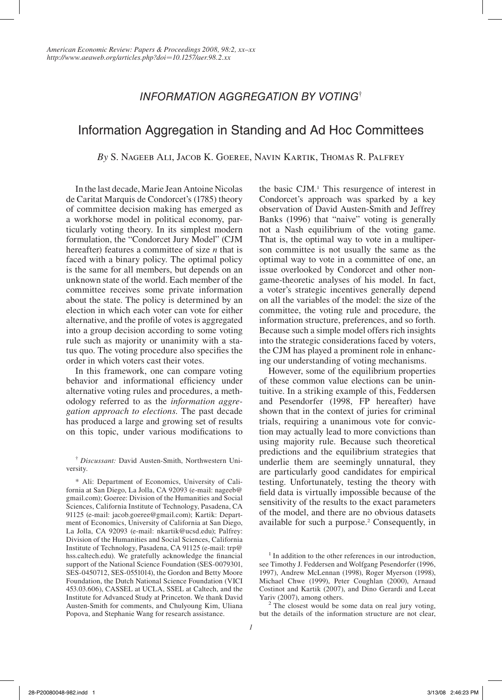## Information Aggregation by Voting†

# Information Aggregation in Standing and Ad Hoc Committees

*By* S. Nageeb Ali, Jacob K. Goeree, Navin Kartik, Thomas R. Palfrey

In the last decade, Marie Jean Antoine Nicolas de Caritat Marquis de Condorcet's (1785) theory of committee decision making has emerged as a workhorse model in political economy, particularly voting theory. In its simplest modern formulation, the "Condorcet Jury Model" (CJM hereafter) features a committee of size *n* that is faced with a binary policy. The optimal policy is the same for all members, but depends on an unknown state of the world. Each member of the committee receives some private information about the state. The policy is determined by an election in which each voter can vote for either alternative, and the profile of votes is aggregated into a group decision according to some voting rule such as majority or unanimity with a status quo. The voting procedure also specifies the order in which voters cast their votes.

In this framework, one can compare voting behavior and informational efficiency under alternative voting rules and procedures, a methodology referred to as the *information aggregation approach to elections*. The past decade has produced a large and growing set of results on this topic, under various modifications to

† *Discussant:* David Austen-Smith, Northwestern University.

\* Ali: Department of Economics, University of California at San Diego, La Jolla, CA 92093 (e-mail: nageeb@ gmail.com); Goeree: Division of the Humanities and Social Sciences, California Institute of Technology, Pasadena, CA 91125 (e-mail: jacob.goeree@gmail.com); Kartik: Department of Economics, University of California at San Diego, La Jolla, CA 92093 (e-mail: nkartik@ucsd.edu); Palfrey: Division of the Humanities and Social Sciences, California Institute of Technology, Pasadena, CA 91125 (e-mail: trp@ hss.caltech.edu). We gratefully acknowledge the financial support of the National Science Foundation (SES-0079301, SES-0450712, SES-0551014), the Gordon and Betty Moore Foundation, the Dutch National Science Foundation (VICI 453.03.606), CASSEL at UCLA, SSEL at Caltech, and the Institute for Advanced Study at Princeton. We thank David Austen-Smith for comments, and Chulyoung Kim, Uliana Popova, and Stephanie Wang for research assistance.

the basic CJM.<sup>1</sup> This resurgence of interest in Condorcet's approach was sparked by a key observation of David Austen-Smith and Jeffrey Banks (1996) that "naive" voting is generally not a Nash equilibrium of the voting game. That is, the optimal way to vote in a multiperson committee is not usually the same as the optimal way to vote in a committee of one, an issue overlooked by Condorcet and other nongame-theoretic analyses of his model. In fact, a voter's strategic incentives generally depend on all the variables of the model: the size of the committee, the voting rule and procedure, the information structure, preferences, and so forth. Because such a simple model offers rich insights into the strategic considerations faced by voters, the CJM has played a prominent role in enhancing our understanding of voting mechanisms.

However, some of the equilibrium properties of these common value elections can be unintuitive. In a striking example of this, Feddersen and Pesendorfer (1998, FP hereafter) have shown that in the context of juries for criminal trials, requiring a unanimous vote for conviction may actually lead to more convictions than using majority rule. Because such theoretical predictions and the equilibrium strategies that underlie them are seemingly unnatural, they are particularly good candidates for empirical testing. Unfortunately, testing the theory with field data is virtually impossible because of the sensitivity of the results to the exact parameters of the model, and there are no obvious datasets available for such a purpose. Consequently, in

<sup>1</sup> In addition to the other references in our introduction, see Timothy J. Feddersen and Wolfgang Pesendorfer (1996, 1997), Andrew McLennan (1998), Roger Myerson (1998), Michael Chwe (1999), Peter Coughlan (2000), Arnaud Costinot and Kartik (2007), and Dino Gerardi and Leeat Yariv (2007), among others.  $\frac{2}{10}$  The closest would be some data on real jury voting,

but the details of the information structure are not clear,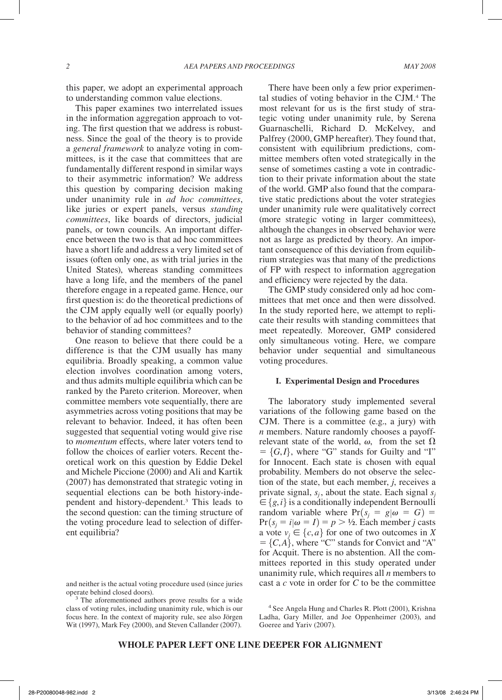this paper, we adopt an experimental approach to understanding common value elections.

This paper examines two interrelated issues in the information aggregation approach to voting. The first question that we address is robustness. Since the goal of the theory is to provide a *general framework* to analyze voting in committees, is it the case that committees that are fundamentally different respond in similar ways to their asymmetric information? We address this question by comparing decision making under unanimity rule in *ad hoc committees*, like juries or expert panels, versus *standing committees*, like boards of directors, judicial panels, or town councils. An important difference between the two is that ad hoc committees have a short life and address a very limited set of issues (often only one, as with trial juries in the United States), whereas standing committees have a long life, and the members of the panel therefore engage in a repeated game. Hence, our first question is: do the theoretical predictions of the CJM apply equally well (or equally poorly) to the behavior of ad hoc committees and to the behavior of standing committees?

One reason to believe that there could be a difference is that the CJM usually has many equilibria. Broadly speaking, a common value election involves coordination among voters, and thus admits multiple equilibria which can be ranked by the Pareto criterion. Moreover, when committee members vote sequentially, there are asymmetries across voting positions that may be relevant to behavior. Indeed, it has often been suggested that sequential voting would give rise to *momentum* effects, where later voters tend to follow the choices of earlier voters. Recent theoretical work on this question by Eddie Dekel and Michele Piccione (2000) and Ali and Kartik (2007) has demonstrated that strategic voting in sequential elections can be both history-independent and history-dependent.<sup>3</sup> This leads to the second question: can the timing structure of the voting procedure lead to selection of different equilibria?

and neither is the actual voting procedure used (since juries operate behind closed doors).

 $3$  The aforementioned authors prove results for a wide class of voting rules, including unanimity rule, which is our focus here. In the context of majority rule, see also Jörgen Wit (1997), Mark Fey (2000), and Steven Callander (2007).

There have been only a few prior experimental studies of voting behavior in the CJM.<sup>4</sup> The most relevant for us is the first study of strategic voting under unanimity rule, by Serena Guarnaschelli, Richard D. McKelvey, and Palfrey (2000, GMP hereafter). They found that, consistent with equilibrium predictions, committee members often voted strategically in the sense of sometimes casting a vote in contradiction to their private information about the state of the world. GMP also found that the comparative static predictions about the voter strategies under unanimity rule were qualitatively correct (more strategic voting in larger committees), although the changes in observed behavior were not as large as predicted by theory. An important consequence of this deviation from equilibrium strategies was that many of the predictions of FP with respect to information aggregation and efficiency were rejected by the data.

The GMP study considered only ad hoc committees that met once and then were dissolved. In the study reported here, we attempt to replicate their results with standing committees that meet repeatedly. Moreover, GMP considered only simultaneous voting. Here, we compare behavior under sequential and simultaneous voting procedures.

#### **I. Experimental Design and Procedures**

The laboratory study implemented several variations of the following game based on the CJM. There is a committee (e.g., a jury) with *n* members. Nature randomly chooses a payoffrelevant state of the world,  $\omega$ , from the set  $\Omega$  $= \{G, I\}$ , where "G" stands for Guilty and "I" for Innocent. Each state is chosen with equal probability. Members do not observe the selection of the state, but each member, *j*, receives a private signal,  $s_i$ , about the state. Each signal  $s_i$  $\in \{ g, i \}$  is a conditionally independent Bernoulli random variable where  $Pr(s_j = g | \omega = G) =$  $Pr(s_j = i | \omega = I) = p > 1/2$ . Each member *j* casts a vote  $v_j \in \{c, a\}$  for one of two outcomes in *X*  $= \{C, A\}$ , where "C" stands for Convict and "A" for Acquit. There is no abstention. All the committees reported in this study operated under unanimity rule, which requires all *n* members to cast a *c* vote in order for *C* to be the committee

## **WHOLE PAPER LEFT ONE LINE DEEPER FOR ALIGNMENT**

<sup>&</sup>lt;sup>4</sup> See Angela Hung and Charles R. Plott (2001), Krishna Ladha, Gary Miller, and Joe Oppenheimer (2003), and Goeree and Yariv (2007).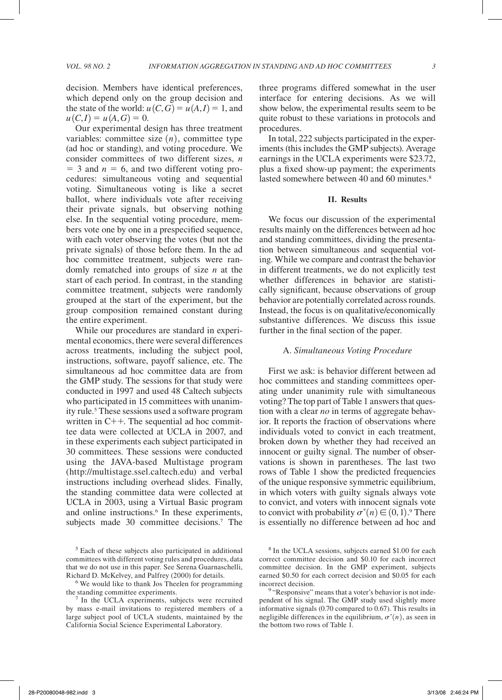decision. Members have identical preferences, which depend only on the group decision and the state of the world:  $u(C, G) = u(A, I) = 1$ , and  $u(C, I) = u(A, G) = 0.$ 

Our experimental design has three treatment variables: committee size  $(n)$ , committee type (ad hoc or standing), and voting procedure. We consider committees of two different sizes, *n*  $=$  3 and  $n = 6$ , and two different voting procedures: simultaneous voting and sequential voting. Simultaneous voting is like a secret ballot, where individuals vote after receiving their private signals, but observing nothing else. In the sequential voting procedure, members vote one by one in a prespecified sequence, with each voter observing the votes (but not the private signals) of those before them. In the ad hoc committee treatment, subjects were randomly rematched into groups of size *n* at the start of each period. In contrast, in the standing committee treatment, subjects were randomly grouped at the start of the experiment, but the group composition remained constant during the entire experiment.

While our procedures are standard in experimental economics, there were several differences across treatments, including the subject pool, instructions, software, payoff salience, etc. The simultaneous ad hoc committee data are from the GMP study. The sessions for that study were conducted in 1997 and used 48 Caltech subjects who participated in 15 committees with unanimity rule.<sup>5</sup> These sessions used a software program written in  $C_{+}$ . The sequential ad hoc committee data were collected at UCLA in 2007, and in these experiments each subject participated in 30 committees. These sessions were conducted using the JAVA-based Multistage program (http://multistage.ssel.caltech.edu) and verbal instructions including overhead slides. Finally, the standing committee data were collected at UCLA in 2003, using a Virtual Basic program and online instructions.<sup>6</sup> In these experiments, subjects made 30 committee decisions.<sup>7</sup> The three programs differed somewhat in the user interface for entering decisions. As we will show below, the experimental results seem to be quite robust to these variations in protocols and procedures.

In total, 222 subjects participated in the experiments (this includes the GMP subjects). Average earnings in the UCLA experiments were \$23.72, plus a fixed show-up payment; the experiments lasted somewhere between 40 and 60 minutes.

#### **II. Results**

We focus our discussion of the experimental results mainly on the differences between ad hoc and standing committees, dividing the presentation between simultaneous and sequential voting. While we compare and contrast the behavior in different treatments, we do not explicitly test whether differences in behavior are statistically significant, because observations of group behavior are potentially correlated across rounds. Instead, the focus is on qualitative/economically substantive differences. We discuss this issue further in the final section of the paper.

#### A. *Simultaneous Voting Procedure*

First we ask: is behavior different between ad hoc committees and standing committees operating under unanimity rule with simultaneous voting? The top part of Table 1 answers that question with a clear *no* in terms of aggregate behavior. It reports the fraction of observations where individuals voted to convict in each treatment, broken down by whether they had received an innocent or guilty signal. The number of observations is shown in parentheses. The last two rows of Table 1 show the predicted frequencies of the unique responsive symmetric equilibrium, in which voters with guilty signals always vote to convict, and voters with innocent signals vote to convict with probability  $\sigma^*(n) \in (0,1)$ . There is essentially no difference between ad hoc and

<sup>&</sup>lt;sup>5</sup> Each of these subjects also participated in additional committees with different voting rules and procedures, data that we do not use in this paper. See Serena Guarnaschelli, Richard D. McKelvey, and Palfrey (2000) for details.

<sup>&</sup>lt;sup>6</sup> We would like to thank Jos Theelen for programming the standing committee experiments.

 $\frac{7}{1}$  In the UCLA experiments, subjects were recruited by mass e-mail invitations to registered members of a large subject pool of UCLA students, maintained by the California Social Science Experimental Laboratory.

 $8$  In the UCLA sessions, subjects earned \$1.00 for each correct committee decision and \$0.10 for each incorrect committee decision. In the GMP experiment, subjects earned \$0.50 for each correct decision and \$0.05 for each incorrect decision.

<sup>&</sup>lt;sup>9</sup> "Responsive" means that a voter's behavior is not independent of his signal. The GMP study used slightly more informative signals (0.70 compared to 0.67). This results in negligible differences in the equilibrium,  $\sigma^*(n)$ , as seen in the bottom two rows of Table 1.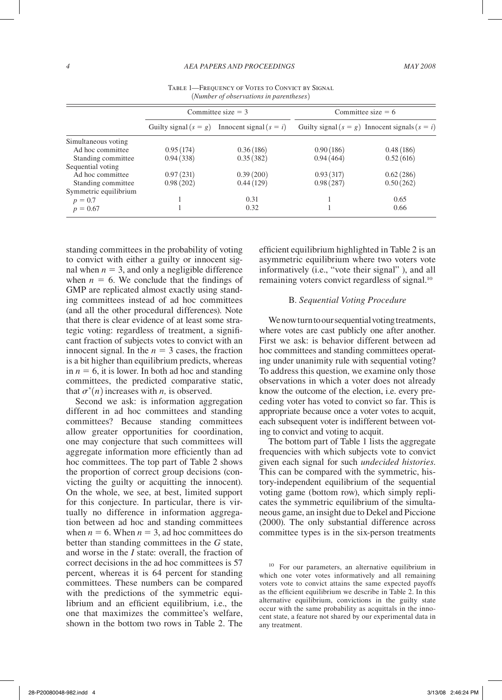|                       |           | Committee size $=$ 3                              | Committee size $= 6$ |                                                    |
|-----------------------|-----------|---------------------------------------------------|----------------------|----------------------------------------------------|
|                       |           | Guilty signal $(s = g)$ Innocent signal $(s = i)$ |                      | Guilty signal $(s = g)$ Innocent signals $(s = i)$ |
| Simultaneous voting   |           |                                                   |                      |                                                    |
| Ad hoc committee      | 0.95(174) | 0.36(186)                                         | 0.90(186)            | 0.48(186)                                          |
| Standing committee.   | 0.94(338) | 0.35(382)                                         | 0.94(464)            | 0.52(616)                                          |
| Sequential voting     |           |                                                   |                      |                                                    |
| Ad hoc committee      | 0.97(231) | 0.39(200)                                         | 0.93(317)            | 0.62(286)                                          |
| Standing committee.   | 0.98(202) | 0.44(129)                                         | 0.98(287)            | 0.50(262)                                          |
| Symmetric equilibrium |           |                                                   |                      |                                                    |
| $p = 0.7$             |           | 0.31                                              |                      | 0.65                                               |
| $p = 0.67$            |           | 0.32                                              |                      | 0.66                                               |

Table 1—Frequency of Votes to Convict by Signal *(Number of observations in parentheses)* 

standing committees in the probability of voting to convict with either a guilty or innocent signal when  $n = 3$ , and only a negligible difference when  $n = 6$ . We conclude that the findings of GMP are replicated almost exactly using standing committees instead of ad hoc committees (and all the other procedural differences). Note that there is clear evidence of at least some strategic voting: regardless of treatment, a significant fraction of subjects votes to convict with an innocent signal. In the  $n = 3$  cases, the fraction is a bit higher than equilibrium predicts, whereas in  $n = 6$ , it is lower. In both ad hoc and standing committees, the predicted comparative static, that  $\sigma^*(n)$  increases with *n*, is observed.

Second we ask: is information aggregation different in ad hoc committees and standing committees? Because standing committees allow greater opportunities for coordination, one may conjecture that such committees will aggregate information more efficiently than ad hoc committees. The top part of Table 2 shows the proportion of correct group decisions (convicting the guilty or acquitting the innocent). On the whole, we see, at best, limited support for this conjecture. In particular, there is virtually no difference in information aggregation between ad hoc and standing committees when  $n = 6$ . When  $n = 3$ , ad hoc committees do better than standing committees in the *G* state, and worse in the *I* state: overall, the fraction of correct decisions in the ad hoc committees is 57 percent, whereas it is 64 percent for standing committees. These numbers can be compared with the predictions of the symmetric equilibrium and an efficient equilibrium, i.e., the one that maximizes the committee's welfare, shown in the bottom two rows in Table 2. The

efficient equilibrium highlighted in Table 2 is an asymmetric equilibrium where two voters vote informatively (i.e., "vote their signal" ), and all remaining voters convict regardless of signal.10

#### B. *Sequential Voting Procedure*

We now turn to our sequential voting treatments, where votes are cast publicly one after another. First we ask: is behavior different between ad hoc committees and standing committees operating under unanimity rule with sequential voting? To address this question, we examine only those observations in which a voter does not already know the outcome of the election, i.e. every preceding voter has voted to convict so far. This is appropriate because once a voter votes to acquit, each subsequent voter is indifferent between voting to convict and voting to acquit.

The bottom part of Table 1 lists the aggregate frequencies with which subjects vote to convict given each signal for such *undecided histories*. This can be compared with the symmetric, history-independent equilibrium of the sequential voting game (bottom row), which simply replicates the symmetric equilibrium of the simultaneous game, an insight due to Dekel and Piccione (2000). The only substantial difference across committee types is in the six-person treatments

<sup>10</sup> For our parameters, an alternative equilibrium in which one voter votes informatively and all remaining voters vote to convict attains the same expected payoffs as the efficient equilibrium we describe in Table 2. In this alternative equilibrium, convictions in the guilty state occur with the same probability as acquittals in the innocent state, a feature not shared by our experimental data in any treatment.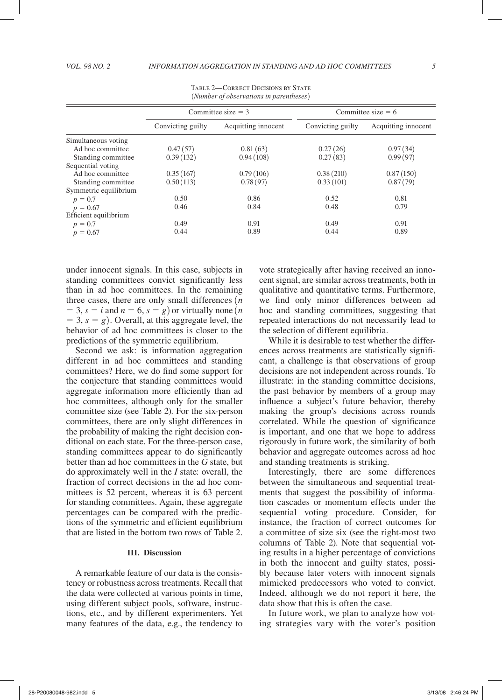$\overline{5}$ 

|                       | Committee size $=$ 3 |                     | Committee size $= 6$ |                     |
|-----------------------|----------------------|---------------------|----------------------|---------------------|
|                       | Convicting guilty    | Acquitting innocent | Convicting guilty    | Acquitting innocent |
| Simultaneous voting   |                      |                     |                      |                     |
| Ad hoc committee      | 0.47(57)             | 0.81(63)            | 0.27(26)             | 0.97(34)            |
| Standing committee    | 0.39(132)            | 0.94(108)           | 0.27(83)             | 0.99(97)            |
| Sequential voting     |                      |                     |                      |                     |
| Ad hoc committee      | 0.35(167)            | 0.79(106)           | 0.38(210)            | 0.87(150)           |
| Standing committee    | 0.50(113)            | 0.78(97)            | 0.33(101)            | 0.87(79)            |
| Symmetric equilibrium |                      |                     |                      |                     |
| $p = 0.7$             | 0.50                 | 0.86                | 0.52                 | 0.81                |
| $p = 0.67$            | 0.46                 | 0.84                | 0.48                 | 0.79                |
| Efficient equilibrium |                      |                     |                      |                     |
| $p = 0.7$             | 0.49                 | 0.91                | 0.49                 | 0.91                |
| $p = 0.67$            | 0.44                 | 0.89                | 0.44                 | 0.89                |

Table 2—Correct Decisions by State  $(Number of observations in parentheses)$ 

under innocent signals. In this case, subjects in standing committees convict significantly less than in ad hoc committees. In the remaining three cases, there are only small differences  $(n)$  $=$  3,  $s = i$  and  $n = 6$ ,  $s = g$  or virtually none (*n*  $= 3, s = g$ ). Overall, at this aggregate level, the behavior of ad hoc committees is closer to the predictions of the symmetric equilibrium.

Second we ask: is information aggregation different in ad hoc committees and standing committees? Here, we do find some support for the conjecture that standing committees would aggregate information more efficiently than ad hoc committees, although only for the smaller committee size (see Table 2). For the six-person committees, there are only slight differences in the probability of making the right decision conditional on each state. For the three-person case, standing committees appear to do significantly better than ad hoc committees in the *G* state, but do approximately well in the *I* state: overall, the fraction of correct decisions in the ad hoc committees is 52 percent, whereas it is 63 percent for standing committees. Again, these aggregate percentages can be compared with the predictions of the symmetric and efficient equilibrium that are listed in the bottom two rows of Table 2.

## **III. Discussion**

A remarkable feature of our data is the consistency or robustness across treatments. Recall that the data were collected at various points in time, using different subject pools, software, instructions, etc., and by different experimenters. Yet many features of the data, e.g., the tendency to vote strategically after having received an innocent signal, are similar across treatments, both in qualitative and quantitative terms. Furthermore, we find only minor differences between ad hoc and standing committees, suggesting that repeated interactions do not necessarily lead to the selection of different equilibria.

While it is desirable to test whether the differences across treatments are statistically significant, a challenge is that observations of group decisions are not independent across rounds. To illustrate: in the standing committee decisions, the past behavior by members of a group may influence a subject's future behavior, thereby making the group's decisions across rounds correlated. While the question of significance is important, and one that we hope to address rigorously in future work, the similarity of both behavior and aggregate outcomes across ad hoc and standing treatments is striking.

Interestingly, there are some differences between the simultaneous and sequential treatments that suggest the possibility of information cascades or momentum effects under the sequential voting procedure. Consider, for instance, the fraction of correct outcomes for a committee of size six (see the right-most two columns of Table 2). Note that sequential voting results in a higher percentage of convictions in both the innocent and guilty states, possibly because later voters with innocent signals mimicked predecessors who voted to convict. Indeed, although we do not report it here, the data show that this is often the case.

In future work, we plan to analyze how voting strategies vary with the voter's position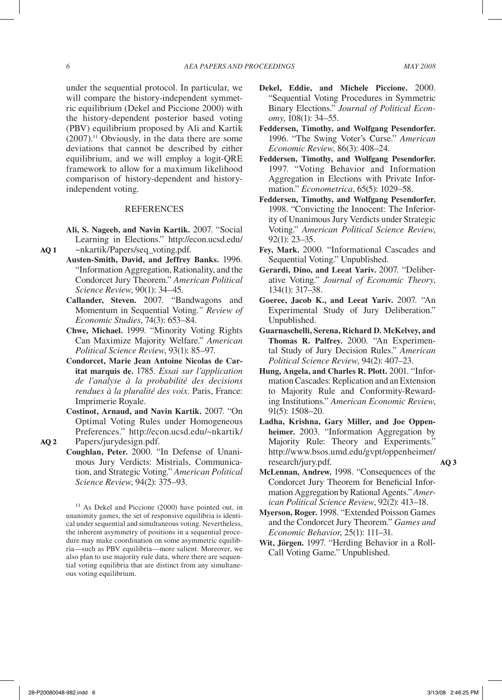under the sequential protocol. In particular, we will compare the history-independent symmetric equilibrium (Dekel and Piccione 2000) with the history-dependent posterior based voting (PBV) equilibrium proposed by Ali and Kartik  $(2007).$ <sup>11</sup> Obviously, in the data there are some deviations that cannot be described by either equilibrium, and we will employ a logit-QRE framework to allow for a maximum likelihood comparison of history-dependent and historyindependent voting.

### **REFERENCES**

- **Ali, S. Nageeb, and Navin Kartik.** 2007. "Social Learning in Elections." http://econ.ucsd.edu/ ~nkartik/Papers/seq\_voting.pdf.
- **Austen-Smith, David, and Jeffrey Banks.** 1996. "Information Aggregation, Rationality, and the Condorcet Jury Theorem." *American Political Science Review*, 90(1): 34–45.
	- **Callander, Steven.** 2007. "Bandwagons and Momentum in Sequential Voting*." Review of Economic Studies*, 74(3): 653–84.
	- **Chwe, Michael.** 1999. "Minority Voting Rights Can Maximize Majority Welfare." *American Political Science Review*, 93(1): 85–97.
	- **Condorcet, Marie Jean Antoine Nicolas de Caritat marquis de.** 1785. *Essai sur l'application de l'analyse à la probabilité des decisions rendues à la pluralité des voix*. Paris, France: Imprimerie Royale.
	- **Costinot, Arnaud, and Navin Kartik.** 2007. "On Optimal Voting Rules under Homogeneous Preferences." http://econ.ucsd.edu/~nkartik/ Papers/jurydesign.pdf.
- **Coughlan, Peter.** 2000. "In Defense of Unanimous Jury Verdicts: Mistrials, Communication, and Strategic Voting." *American Political Science Review*, 94(2): 375–93.

 $11$  As Dekel and Piccione (2000) have pointed out, in unanimity games, the set of responsive equilibria is identical under sequential and simultaneous voting. Nevertheless, the inherent asymmetry of positions in a sequential procedure may make coordination on some asymmetric equilibria—such as PBV equilibria—more salient. Moreover, we also plan to use majority rule data, where there are sequential voting equilibria that are distinct from any simultaneous voting equilibrium.

- **Dekel, Eddie, and Michele Piccione.** 2000. "Sequential Voting Procedures in Symmetric Binary Elections." *Journal of Political Economy*, 108(1): 34–55.
- **Feddersen, Timothy, and Wolfgang Pesendorfer.** 1996. "The Swing Voter's Curse." *American Economic Review*, 86(3): 408–24.
- **Feddersen, Timothy, and Wolfgang Pesendorfer.** 1997. "Voting Behavior and Information Aggregation in Elections with Private Information." *Econometrica*, 65(5): 1029–58.
- **Feddersen, Timothy, and Wolfgang Pesendorfer.** 1998. "Convicting the Innocent: The Inferiority of Unanimous Jury Verdicts under Strategic Voting." *American Political Science Review*, 92(1): 23–35.
- **Fey, Mark.** 2000. "Informational Cascades and Sequential Voting." Unpublished.
- **Gerardi, Dino, and Leeat Yariv.** 2007. "Deliberative Voting." *Journal of Economic Theory*, 134(1): 317–38.
- **Goeree, Jacob K., and Leeat Yariv.** 2007. "An Experimental Study of Jury Deliberation." Unpublished.
- **Guarnaschelli, Serena, Richard D. McKelvey, and Thomas R. Palfrey.** 2000. "An Experimental Study of Jury Decision Rules." *American Political Science Review*, 94(2): 407–23.
- **Hung, Angela, and Charles R. Plott.** 2001. "Information Cascades: Replication and an Extension to Majority Rule and Conformity-Rewarding Institutions." *American Economic Review*, 91(5): 1508–20.
- **Ladha, Krishna, Gary Miller, and Joe Oppenheimer.** 2003. "Information Aggregation by Majority Rule: Theory and Experiments." http://www.bsos.umd.edu/gvpt/oppenheimer/ research/jury.pdf.
- **McLennan, Andrew.** 1998. "Consequences of the Condorcet Jury Theorem for Beneficial Information Aggregation by Rational Agents." *American Political Science Review*, 92(2): 413–18.
- **Myerson, Roger.** 1998. "Extended Poisson Games and the Condorcet Jury Theorem." *Games and Economic Behavior*, 25(1): 111–31.
- **Wit, Jörgen.** 1997. "Herding Behavior in a Roll-Call Voting Game." Unpublished.

**AQ 1**

**AQ 2**

**AQ 3**